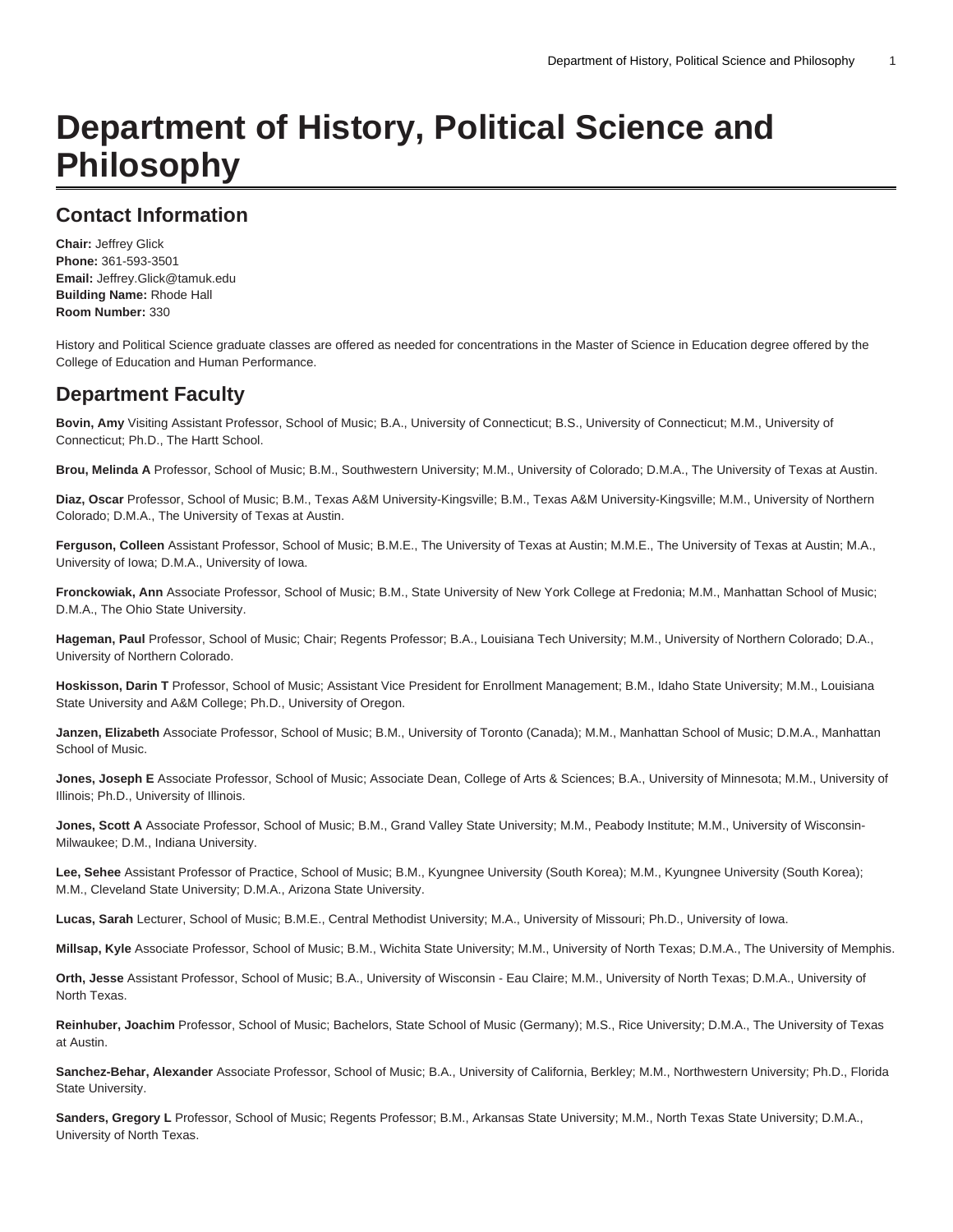# **Department of History, Political Science and Philosophy**

## **Contact Information**

**Chair:** Jeffrey Glick **Phone:** 361-593-3501 **Email:** [Jeffrey.Glick@tamuk.edu](mailto:Jeffrey.Glick@tamuk.edu) **Building Name:** Rhode Hall **Room Number:** 330

History and Political Science graduate classes are offered as needed for concentrations in the Master of Science in Education degree offered by the College of Education and Human Performance.

## **Department Faculty**

**Bovin, Amy** Visiting Assistant Professor, School of Music; B.A., University of Connecticut; B.S., University of Connecticut; M.M., University of Connecticut; Ph.D., The Hartt School.

**Brou, Melinda A** Professor, School of Music; B.M., Southwestern University; M.M., University of Colorado; D.M.A., The University of Texas at Austin.

**Diaz, Oscar** Professor, School of Music; B.M., Texas A&M University-Kingsville; B.M., Texas A&M University-Kingsville; M.M., University of Northern Colorado; D.M.A., The University of Texas at Austin.

**Ferguson, Colleen** Assistant Professor, School of Music; B.M.E., The University of Texas at Austin; M.M.E., The University of Texas at Austin; M.A., University of Iowa; D.M.A., University of Iowa.

**Fronckowiak, Ann** Associate Professor, School of Music; B.M., State University of New York College at Fredonia; M.M., Manhattan School of Music; D.M.A., The Ohio State University.

**Hageman, Paul** Professor, School of Music; Chair; Regents Professor; B.A., Louisiana Tech University; M.M., University of Northern Colorado; D.A., University of Northern Colorado.

**Hoskisson, Darin T** Professor, School of Music; Assistant Vice President for Enrollment Management; B.M., Idaho State University; M.M., Louisiana State University and A&M College; Ph.D., University of Oregon.

**Janzen, Elizabeth** Associate Professor, School of Music; B.M., University of Toronto (Canada); M.M., Manhattan School of Music; D.M.A., Manhattan School of Music.

**Jones, Joseph E** Associate Professor, School of Music; Associate Dean, College of Arts & Sciences; B.A., University of Minnesota; M.M., University of Illinois; Ph.D., University of Illinois.

**Jones, Scott A** Associate Professor, School of Music; B.M., Grand Valley State University; M.M., Peabody Institute; M.M., University of Wisconsin-Milwaukee; D.M., Indiana University.

**Lee, Sehee** Assistant Professor of Practice, School of Music; B.M., Kyungnee University (South Korea); M.M., Kyungnee University (South Korea); M.M., Cleveland State University; D.M.A., Arizona State University.

**Lucas, Sarah** Lecturer, School of Music; B.M.E., Central Methodist University; M.A., University of Missouri; Ph.D., University of Iowa.

**Millsap, Kyle** Associate Professor, School of Music; B.M., Wichita State University; M.M., University of North Texas; D.M.A., The University of Memphis.

**Orth, Jesse** Assistant Professor, School of Music; B.A., University of Wisconsin - Eau Claire; M.M., University of North Texas; D.M.A., University of North Texas.

**Reinhuber, Joachim** Professor, School of Music; Bachelors, State School of Music (Germany); M.S., Rice University; D.M.A., The University of Texas at Austin.

**Sanchez-Behar, Alexander** Associate Professor, School of Music; B.A., University of California, Berkley; M.M., Northwestern University; Ph.D., Florida State University.

**Sanders, Gregory L** Professor, School of Music; Regents Professor; B.M., Arkansas State University; M.M., North Texas State University; D.M.A., University of North Texas.